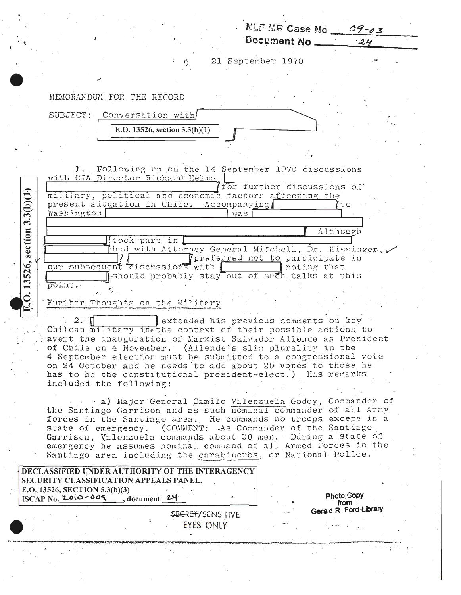| $P_{\rm{max}}$<br>MEMORANDUM FOR THE RECORD<br>SUBJECT: Conversation with<br>E.O. 13526, section $3.3(b)(1)$                    | Document $No$ 24<br>21 September 1970           |                                |
|---------------------------------------------------------------------------------------------------------------------------------|-------------------------------------------------|--------------------------------|
|                                                                                                                                 |                                                 |                                |
|                                                                                                                                 |                                                 |                                |
|                                                                                                                                 |                                                 |                                |
|                                                                                                                                 |                                                 |                                |
|                                                                                                                                 |                                                 |                                |
|                                                                                                                                 |                                                 |                                |
|                                                                                                                                 |                                                 |                                |
|                                                                                                                                 |                                                 |                                |
| Following up on the 14 September 1970 discussions<br>ı.<br>with CIA Director Richard Helms,                                     |                                                 |                                |
| military, political and economic factors affecting the                                                                          | for further discussions of                      |                                |
| section $3.3(b)(1)$<br>present situation in Chile. Accompanying                                                                 |                                                 | to                             |
| Washington<br>was                                                                                                               |                                                 |                                |
| took part in                                                                                                                    | Although                                        |                                |
| had with Attorney General Mitchell, Dr. Kissinger,                                                                              |                                                 |                                |
| 526,<br>our subsequent discussions with                                                                                         | Tpreferred not to participate in<br>noting that |                                |
| eshould probably stay out of such talks at this<br>point.                                                                       |                                                 |                                |
| E.O. 13                                                                                                                         |                                                 |                                |
| Further Thoughts on the Military                                                                                                |                                                 |                                |
| 2:1<br>extended his previous comments on key<br>Chilean military in the context of their possible actions to                    |                                                 |                                |
| avert the inauguration of Marxist Salvador Allende as President                                                                 |                                                 |                                |
| of Chile on 4 November. (Allende's slim plurality in the<br>4 September election must be submitted to a congressional vote      |                                                 |                                |
| on 24 October and he needs to add about 20 votes to those he                                                                    |                                                 |                                |
| has to be the constitutional president-elect.) His remarks<br>included the following:                                           |                                                 |                                |
| a) Major General Camilo Valenzuela Godoy, Commander of                                                                          |                                                 |                                |
| the Santiago Garrison and as such nominal commander of all Army                                                                 |                                                 |                                |
| forces in the Santiago area. He commands no troops except in a<br>state of emergency. (COMMENT: As Commander of the Santiago    |                                                 |                                |
| Garrison, Valenzuela commands about 30 men. During a state of                                                                   |                                                 |                                |
| emergency he assumes nominal command of all Armed Forces in the<br>Santiago area including the carabineros, or National Police. |                                                 |                                |
| DECLASSIFIED UNDER AUTHORITY OF THE INTERAGENCY                                                                                 |                                                 |                                |
| SECURITY CLASSIFICATION APPEALS PANEL.                                                                                          |                                                 |                                |
| E.O. 13526, SECTION 5.3(b)(3)<br>$ISCAP$ No. $ZO(200 - 00)$<br>$\overline{\phantom{a}}$ , document 24                           |                                                 | Photo Copy                     |
| <b>SECRET/SENSITIVE</b>                                                                                                         |                                                 | from<br>Gerald R. Ford Library |
| EYES ONLY                                                                                                                       |                                                 |                                |
|                                                                                                                                 |                                                 |                                |
|                                                                                                                                 |                                                 |                                |
|                                                                                                                                 |                                                 |                                |

 $\hat{\boldsymbol{\gamma}}$ 

 $\sim$ 

Ĵ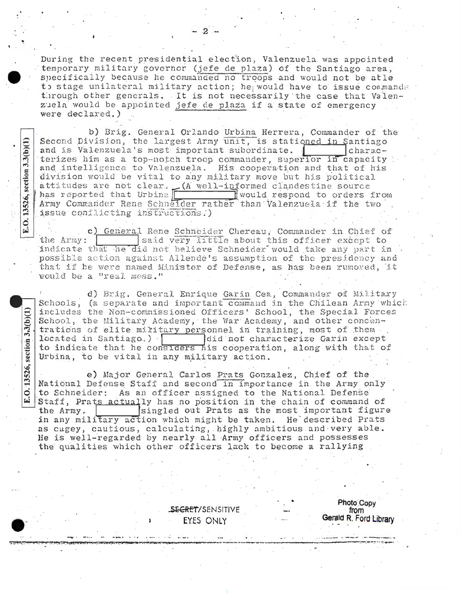During the recent presidential election, Valenzuela was appointed temporary military governor (jefe de plaza) of the Santiago area, specifically because he commanded no troops and would not be atle to stage unilateral military action; he would have to issue commands through other generals. It is not necessarily the case that Valenzuela would be appointed jefe de plaza if a state of emergency were declared.)

b) Brig. General Orlando Urbina Herrera, Commander of the Second Division, the largest Army unit, is stationed in Santiago and is Valenzuela's most important subordinate. characterizes him as a top-notch troop commander, superior in capacity and intelligence to Valenzuela. His cooperation and that of his division would be vital to any military move but his political attitudes are not clear.  $(A \text{ well-informed clandes} time source)$ <br>has reported that Urbina Army Commander Rene Schneider rather than Valenzuela if the two issue conflicting instructions.)

E.O. 13526, section 3.3(b)(1)

E.O. 13526, section  $3.3(b)(1)$ 

c) General Rene Schneider Chereau, Commander in Chief of said very little about this officer except to the Army: indicate that he did not believe Schneider would take any part in possible action against Allende's assumption of the presidency and that if he were named Minister of Defense, as has been rumored, it would be a "real mess."

d) Brig. General Enrique Garin Cea, Commander of Military Schools, (a separate and important command in the Chilean Army which includes the Non-commissioned Officers' School, the Special Forces School, the Military Academy, the War Academy, and other concentrations of elite military personnel in training, most of them. located in Santiago.) did not characterize Garin except to indicate that he considers his cooperation, along with that of Urbina, to be vital in any military action.

e) Major General Carlos Prats Gonzalez, Chief of the National Defense Staff and second in importance in the Army only to Schneider: As an officer assigned to the National Defense Staff, Prats actually has no position in the chain of command of singled out Prats as the most important figure the Army. in any military action which might be taken. He described Prats as cagey, cautious, calculating, highly ambitious and very able. He is well-regarded by nearly all Army officers and possesses the qualities which other officers lack to become a rallying

> **SECRET/SENSITIVE** EYES ONLY

Photo Copy from Gerald R. Ford Library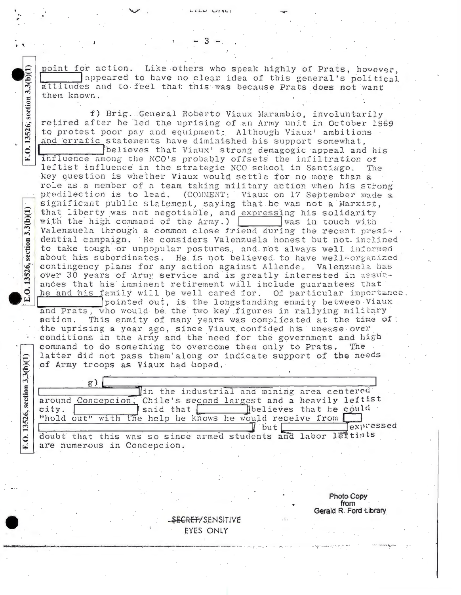point for action. Like others who speak highly of Prats, however. appeared to have no clear idea of this general's political attitudes and to feel that this was because Prats does not want them known.

f) Brig. General Roberto Viaux Marambio, involuntarily retired after he led the uprising of an Army unit in October 1969 to protest poor pay and equipment: Although Viaux' ambitions and erratic statements have diminished his support somewhat.

believes that Viaux' strong demagogic appeal and his influence among the NCO's probably offsets the infiltration of leftist influence in the strategic NCO school in Santiago. The key question is whether Viaux would settle for no more than a role as a member of a team taking military action when his strong predilection is to lead. (COMMENT: Viaux on 17 September made a significant public statement, saying that he was not a Marxist, that liberty was not negotiable, and expressing his solidarity with the high command of the Army.) was in touch with Valenzuela through a common close friend during the recent presidential campaign. He considers Valenzuela honest but not inclined to take tough or unpopular postures, and not always well informed about his subordinates. He is not believed to have well-organized contingency plans for any action against Allende. Valenzuela has over 30 years of Army service and is greatly interested in assurances that his imminent retirement will include guarantees that he and his family will be well cared for. Of particular importance, pointed out, is the longstanding enmity between Viaux and Prats, who would be the two key figures in rallying military action. This enmity of many years was complicated at the time of: the uprising a year ago, since Viaux confided his unease over conditions in the Army and the need for the government and high command to do something to overcome them only to Prats. The latter did not pass them'along or indicate support of the needs

of Army troops as Viaux had hoped.

 $g$ ) In the industrial and mining area centered around Concepcion, Chile's second largest and a heavily leftist said that believes that he could city. "hold out" with the help he knows he would receive from [ expressed but doubt that this was so since armed students and labor leftiats are numerous in Concepcion.

> **Photo Copy** from Gerald R. Ford Library

SECRET/SENSITIVE EYES ONLY

 $3.3(b)$  $(1)$ 

.O. 13526; section

ئے

13526, section 3.3(b)(1)

 $\ddot{\circ}$ 

13526, section 3,3(b)(1)

 $\ddot{\circ}$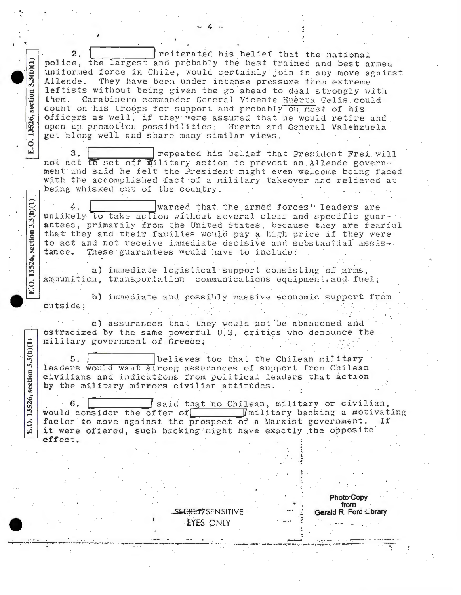reiterated his belief that the national police, the largest and probably the best trained and best armed uniformed force in Chile, would certainly join in any move against They have been under intense pressure from extreme Allende. leftists without being given the go ahead to deal strongly with them. Carabinero commander General Vicente Huerta Celis could. count on his troops for support and probably on most of his officers as well, if they were assured that he would retire and open up promotion possibilities. Huerta and General Valenzuela get along well and share many similar views.  $3<sub>1</sub>$ repeated his belief that President Frei will not act to set off military action to prevent an Allende government and said he felt the President might even welcome being faced with the accomplished fact of a military takeover and relieved at being whisked out of the country. warned that the armed forces" leaders are 4. unlikely to take action without several clear and specific guarantees, primarily from the United States, because they are fearful that they and their families would pay a high price if they were to act and not receive immediate decisive and substantial assistance. These guarantees would have to include: a) immediate logistical support consisting of arms, ammunition, transportation, communications equipment, and fuel; b) immediate and possibly massive economic support from outside: c) assurances that they would not be abandoned and ostracized by the same powerful U.S. critics who denounce the military government of Greece;  $5.$ believes too that the Chilean military leaders would want strong assurances of support from Chilean civilians and indications from political leaders that action by the military mirrors civilian attitudes. said that no Chilean, military or civilian, 6. Imilitary backing a motivating would consider the offer of factor to move against the prospect of a Marxist government. If it were offered, such backing might have exactly the opposite effect. Photo Copy from SECRETTSENSITIVE Gerald R. Ford Library EYES ONLY

 $3.3(b)(1)$ 

section

E.O. 13526,

 $3.3(b)(1)$ 

section

E.O. 13526,

 $3.3(b)(1)$ 

section

13526,

 $\dot{\circ}$ 

国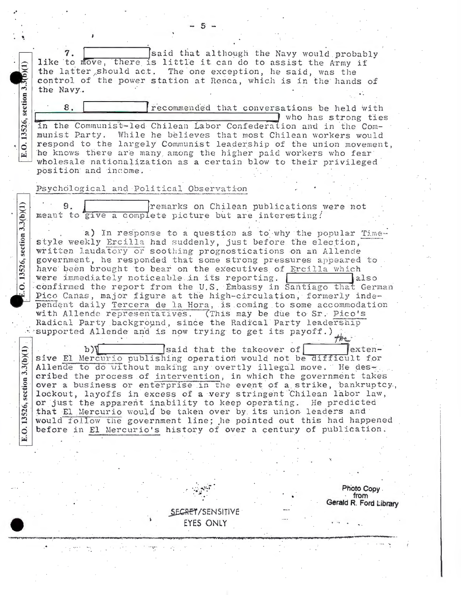said that although the Navy would probably like to move, there is little it can do to assist the Army if the latter should act. The one exception, he said, was the control of the power station at Renca, which is in the hands of the Navy.

8. recommended that conversations be held with who has strong ties in the Communist-led Chilean Labor Confederation and in the Communist Party. While he believes that most Chilean workers would respond to the largely Communist leadership of the union movement. he knows there are many among the higher paid workers who fear wholesale nationalization as a certain blow to their privileged position and income.

## Psychological and Political Observation

remarks on Chilean publications were not meant to give a complete picture but are interesting!

a) In response to a question as to why the popular Timestyle weekly Ercilla had suddenly, just before the election, written laudatory or soothing prognostications on an Allende government, he responded that some strong pressures appeared to have been brought to bear on the executives of Ercilla which were immediately noticeable in its reporting. also confirmed the report from the U.S. Embassy in Santiago that German Pico Canas, major figure at the high-circulation, formerly independent daily Tercera de la Hora, is coming to some accommodation with Allende representatives. (This may be due to Sr. Pico's Radical Party background, since the Radical Party leadership supported Allende and is now trying to get its payoff.)

 $b$ said that the takeover of extensive El Mercurio publishing operation would not be difficult for Allende to do without making any overtly illegal move. He described the process of intervention, in which the government takes over a business or enterprise in the event of a strike, bankruptcy, lockout, layoffs in excess of a very stringent Chilean labor law, or just the apparent inability to keep operating. He predicted that El Mercurio would be taken over by its union leaders and would follow the government line; he pointed out this had happened before in El Mercurio's history of over a century of publication.

SECRET/SENSITIVE

EYES ONLY

Photo Copy. from Gerald R. Ford Library

 $3.3(b)(1)$ section. 0.13526,

 $3.3(b)(1)$ 

section

13526,

E.O.

13526, section 3.3

0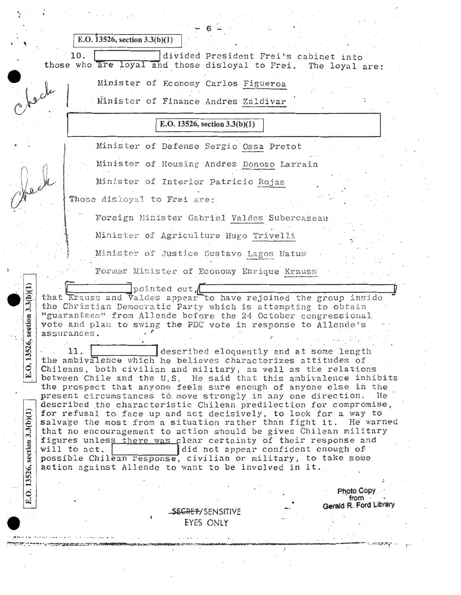| E.O. 13526, section $3.3(b)(1)$                                                                                                                                                                                                                                                                                                                                                                                                                                                                                                                                                                                                                                                                                                                                                                                                                                                                                                                                                                                                                                                                                                                                                                                                                                                                                                                           |  |
|-----------------------------------------------------------------------------------------------------------------------------------------------------------------------------------------------------------------------------------------------------------------------------------------------------------------------------------------------------------------------------------------------------------------------------------------------------------------------------------------------------------------------------------------------------------------------------------------------------------------------------------------------------------------------------------------------------------------------------------------------------------------------------------------------------------------------------------------------------------------------------------------------------------------------------------------------------------------------------------------------------------------------------------------------------------------------------------------------------------------------------------------------------------------------------------------------------------------------------------------------------------------------------------------------------------------------------------------------------------|--|
| 10.<br>divided President Frei's cabinet into<br>those who are loyal and those disloyal to Frei. The loyal are:                                                                                                                                                                                                                                                                                                                                                                                                                                                                                                                                                                                                                                                                                                                                                                                                                                                                                                                                                                                                                                                                                                                                                                                                                                            |  |
| Minister of Economy Carlos Figueroa                                                                                                                                                                                                                                                                                                                                                                                                                                                                                                                                                                                                                                                                                                                                                                                                                                                                                                                                                                                                                                                                                                                                                                                                                                                                                                                       |  |
| obeck<br>Minister of Finance Andres Zaldivar                                                                                                                                                                                                                                                                                                                                                                                                                                                                                                                                                                                                                                                                                                                                                                                                                                                                                                                                                                                                                                                                                                                                                                                                                                                                                                              |  |
| E.O. 13526, section $3.3(b)(1)$                                                                                                                                                                                                                                                                                                                                                                                                                                                                                                                                                                                                                                                                                                                                                                                                                                                                                                                                                                                                                                                                                                                                                                                                                                                                                                                           |  |
| Minister of Defense Sergio Ossa Pretot                                                                                                                                                                                                                                                                                                                                                                                                                                                                                                                                                                                                                                                                                                                                                                                                                                                                                                                                                                                                                                                                                                                                                                                                                                                                                                                    |  |
| Minister of Housing Andres Donoso Larrain                                                                                                                                                                                                                                                                                                                                                                                                                                                                                                                                                                                                                                                                                                                                                                                                                                                                                                                                                                                                                                                                                                                                                                                                                                                                                                                 |  |
| Minister of Interior Patricio Rojas                                                                                                                                                                                                                                                                                                                                                                                                                                                                                                                                                                                                                                                                                                                                                                                                                                                                                                                                                                                                                                                                                                                                                                                                                                                                                                                       |  |
| Those disloyal to Frei are:                                                                                                                                                                                                                                                                                                                                                                                                                                                                                                                                                                                                                                                                                                                                                                                                                                                                                                                                                                                                                                                                                                                                                                                                                                                                                                                               |  |
| Foreign Minister Gabriel Valdes Subercaseau                                                                                                                                                                                                                                                                                                                                                                                                                                                                                                                                                                                                                                                                                                                                                                                                                                                                                                                                                                                                                                                                                                                                                                                                                                                                                                               |  |
| Minister of Agriculture Hugo Trivelli                                                                                                                                                                                                                                                                                                                                                                                                                                                                                                                                                                                                                                                                                                                                                                                                                                                                                                                                                                                                                                                                                                                                                                                                                                                                                                                     |  |
| Minister of Justice Gustavo Lagos Matus                                                                                                                                                                                                                                                                                                                                                                                                                                                                                                                                                                                                                                                                                                                                                                                                                                                                                                                                                                                                                                                                                                                                                                                                                                                                                                                   |  |
| Former Minister of Economy Enrique Krauss                                                                                                                                                                                                                                                                                                                                                                                                                                                                                                                                                                                                                                                                                                                                                                                                                                                                                                                                                                                                                                                                                                                                                                                                                                                                                                                 |  |
| pointed out,<br>3.3(b)(1)<br>that Krauss and Valdes appear to have rejoined the group inside<br>the Christian Democratic Party which is attempting to obtain<br>"guarantees" from Allende before the 24 October congressional<br>section<br>vote and plan to swing the PDC vote in response to Allende's<br>assurances.<br>526,<br>described eloquently and at some length<br>$\mathbf{13}$<br>the ambivalence which he believes characterizes attitudes of<br>Q.<br>Chileans, both civilian and military, as well as the relations<br>囯<br>between Chile and the U.S. He said that this ambivalence inhibits<br>the prospect that anyone feels sure enough of anyone else in the<br>present circumstances to move strongly in any one direction.<br>He<br>described the characteristic Chilean predilection for compromise,<br>3.3(b)(1)<br>for refusal to face up and act decisively, to look for a way to<br>salvage the most from a situation rather than fight it. He warned<br>that no encouragement to action should be given Chilean military<br>figures unless there was clear certainty of their response and<br>section<br>did not appear confident enough of<br>will to act.<br>possible Chilean response, civilian or military, to take some<br>13526,<br>action against Allende to want to be involved in it.<br>Photo Copy<br>E.O.<br>from |  |
| Gerald R. Ford Library<br><del>SECRET</del> /SENSITIVE                                                                                                                                                                                                                                                                                                                                                                                                                                                                                                                                                                                                                                                                                                                                                                                                                                                                                                                                                                                                                                                                                                                                                                                                                                                                                                    |  |
| EYES ONLY                                                                                                                                                                                                                                                                                                                                                                                                                                                                                                                                                                                                                                                                                                                                                                                                                                                                                                                                                                                                                                                                                                                                                                                                                                                                                                                                                 |  |
|                                                                                                                                                                                                                                                                                                                                                                                                                                                                                                                                                                                                                                                                                                                                                                                                                                                                                                                                                                                                                                                                                                                                                                                                                                                                                                                                                           |  |
|                                                                                                                                                                                                                                                                                                                                                                                                                                                                                                                                                                                                                                                                                                                                                                                                                                                                                                                                                                                                                                                                                                                                                                                                                                                                                                                                                           |  |

 $\hat{\mathcal{A}}$ 

 $\hat{\boldsymbol{\beta}}$  ,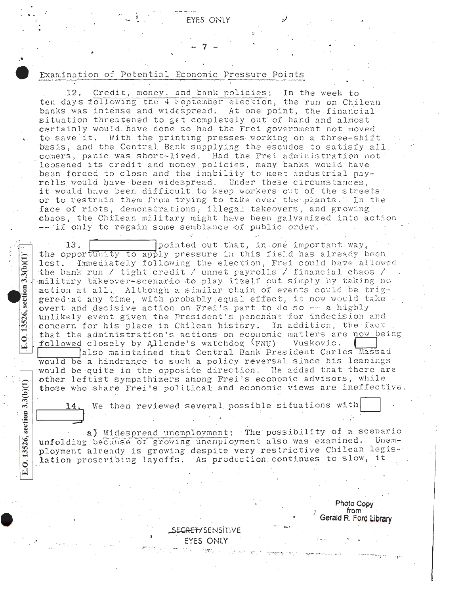## Examination of Potential Economic Pressure Points

 $3.3(b)(1)$ 

section

13526,

 $\ddot{\circ}$ 

邑

 $3.3(b)(1)$ 

O. 13526, section

Credit, money, and bank policies: In the week to 12. ten days following the 4 September election, the run on Chilean banks was intense and widespread. At one point, the financial situation threatened to get completely out of hand and almost certainly would have done so had the Frei government not moved to save it. With the printing presses working on a three-shift basis, and the Central Bank supplying the escudos to satisfy all comers, panic was short-lived. Had the Frei administration not loosened its credit and money policies, many banks would have been forced to close and the inability to meet industrial payrolls would have been widespread. Under these circumstances, it would have been difficult to keep workers out of the streets or to restrain them from trying to take over the plants. In the face of riots, demonstrations, illegal takeovers, and growing chaos, the Chilean military might have been galvanized into action -- if only to regain some semblance of public order.

pointed out that, in one important way, 13. the opportunity to apply pressure in this field has already been Immediately following the election, Frei could have allowed  $lost.$ the bank run / tight credit / unmet payrolls / financial chaos / military takeover-scenario to play itself out simply by taking no action at all. Although a similar chain of events could be triggered at any time, with probably equal effect, it now would take overt and decisive action on Frei's part to do so -- a highly unlikely event given the President's penchant for indecision and concern for his place in Chilean history. In addition, the fact that the administration's actions on economic matters are now being followed closely by Allende's watchdog (FNU) Vuskovic.

also maintained that Central Bank President Carlos Massad would be a hindrance to such a policy reversal since his leanings: would be quite in the opposite direction. He added that there are other leftist sympathizers among Frei's economic advisors, while those who share Frei's political and economic views are ineffective.

We then reviewed several possible situations with

a) Widespread unemployment: The possibility of a scenario unfolding because of growing unemployment also was examined. Unemployment already is growing despite very restrictive Chilean legislation proscribing layoffs. As production continues to slow, it

> Photo Copy from Gerald R. Ford Library

<del>ZRET/</del> SENSITIVE EYES ONLY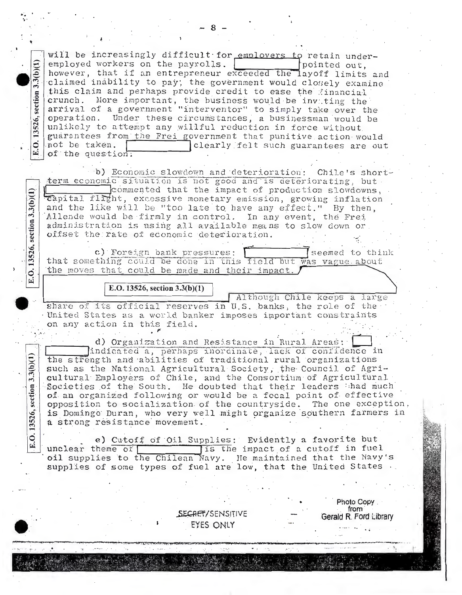will be increasingly difficult for employers to retain underemployed workers on the payrolls. pointed out. however, that if an entrepreneur exceeded the layoff limits and claimed inability to pay; the government would closely examine this claim and perhaps provide credit to ease the financial crunch. More important, the business would be invating the arrival of a government "interventor" to simply take over the operation. Under these circumstances, a businessman would be unlikely to attempt any willful reduction in force without guarantees from the Frei government that punitive action would not be taken. clearly felt such guarantees are out of the question.

b) Economic slowdown and deterioration: Chile's shortterm economic situation is not good and is deteriorating, but commented that the impact of production slowdowns, Capital flight, excessive monetary emission, growing inflation and the like will be "too late to have any effect." By then, Allende would be firmly in control. In any event, the Frei administration is using all available means to slow down or offset the rate of economic deterioration.

c) Foreign bank pressures: seemed to think that something could be done in this field but was vague about the moves that could be made and their impact.

## E.O. 13526, section  $3.3(b)(1)$

 $3.3(b)(1)$ 

section

13526, s

E

section  $3.3(b)(1)$ 

13526,

E.O.

 $3.3(b)(1)$ 

E.O. 13526, section

Although Chile keeps a large share of its official reserves in U.S. banks, the role of the United States as a world banker imposes important constraints on any action in this field.

d) Organization and Resistance in Rural Areas: indicated a, perhaps inordinate, lack of confidence in the strength and abilities of traditional rural organizations such as the National Agricultural Society, the Council of Agricultural Employers of Chile, and the Consortium of Agricultural Societies of the South. He doubted that their leaders thad much of an organized following or would be a focal point of effective opposition to socialization of the countryside. The one exception, is Domingo Duran, who very well might organize southern farmers in a strong resistance movement.

e) Cutoff of Oil Supplies: Evidently a favorite but is the impact of a cutoff in fuel unclear theme of oil supplies to the Chilean Navy. He maintained that the Navy's supplies of some types of fuel are low, that the United States.

> SECRET/SENSITIVE EYES ONLY

Photo Copy from Gerald R. Ford Library